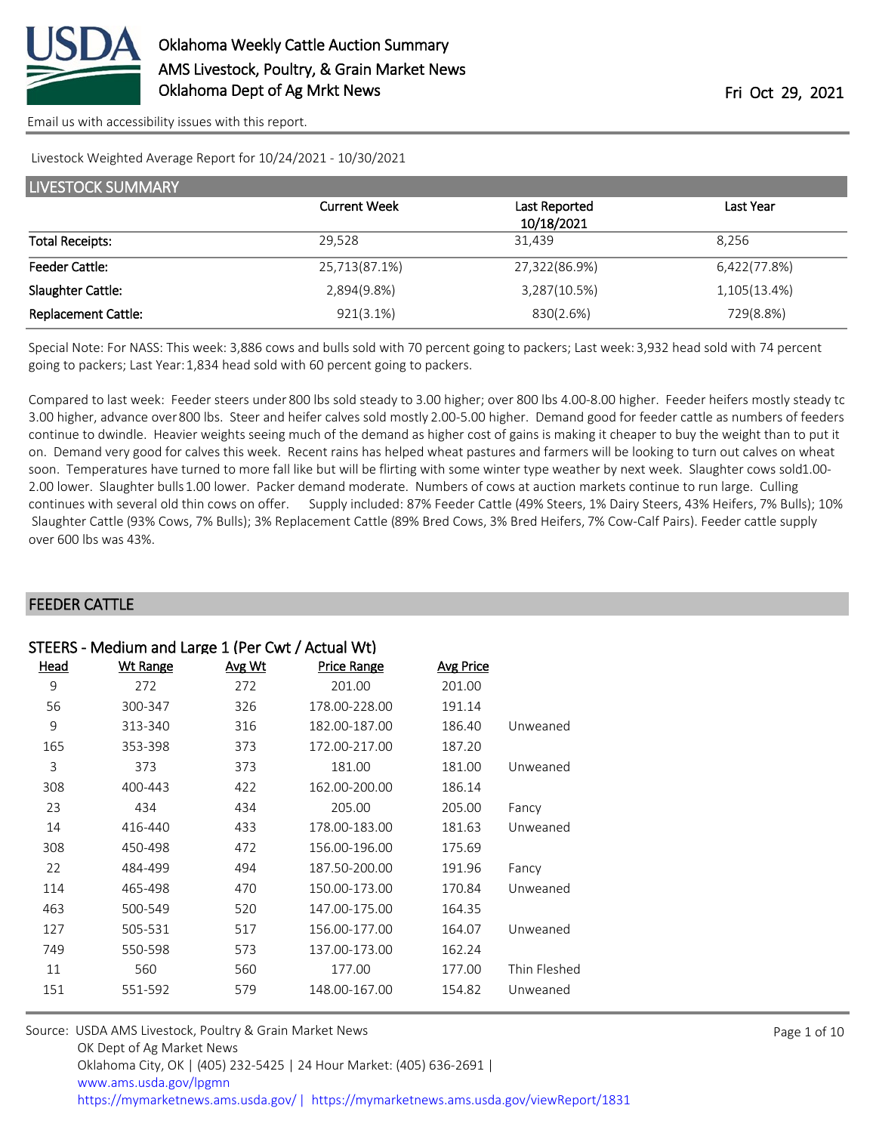

[Email us with accessibility issues with this report.](mailto:mars@ams.usda.gov?subject=508%20issue)

#### Livestock Weighted Average Report for 10/24/2021 - 10/30/2021

| <b>LIVESTOCK SUMMARY</b>   |                     |               |              |  |  |
|----------------------------|---------------------|---------------|--------------|--|--|
|                            | <b>Current Week</b> | Last Reported | Last Year    |  |  |
|                            |                     | 10/18/2021    |              |  |  |
| <b>Total Receipts:</b>     | 29,528              | 31,439        | 8.256        |  |  |
| <b>Feeder Cattle:</b>      | 25,713(87.1%)       | 27,322(86.9%) | 6,422(77.8%) |  |  |
| Slaughter Cattle:          | 2,894(9.8%)         | 3,287(10.5%)  | 1,105(13.4%) |  |  |
| <b>Replacement Cattle:</b> | 921(3.1%)           | 830(2.6%)     | 729(8.8%)    |  |  |

Special Note: For NASS: This week: 3,886 cows and bulls sold with 70 percent going to packers; Last week: 3,932 head sold with 74 percent going to packers; Last Year: 1,834 head sold with 60 percent going to packers.

Compared to last week: Feeder steers under 800 lbs sold steady to 3.00 higher; over 800 lbs 4.00-8.00 higher. Feeder heifers mostly steady to 3.00 higher, advance over 800 lbs. Steer and heifer calves sold mostly 2.00-5.00 higher. Demand good for feeder cattle as numbers of feeders continue to dwindle. Heavier weights seeing much of the demand as higher cost of gains is making it cheaper to buy the weight than to put it on. Demand very good for calves this week. Recent rains has helped wheat pastures and farmers will be looking to turn out calves on wheat soon. Temperatures have turned to more fall like but will be flirting with some winter type weather by next week. Slaughter cows sold1.00-2.00 lower. Slaughter bulls 1.00 lower. Packer demand moderate. Numbers of cows at auction markets continue to run large. Culling continues with several old thin cows on offer. Supply included: 87% Feeder Cattle (49% Steers, 1% Dairy Steers, 43% Heifers, 7% Bulls); 10% Slaughter Cattle (93% Cows, 7% Bulls); 3% Replacement Cattle (89% Bred Cows, 3% Bred Heifers, 7% Cow-Calf Pairs). Feeder cattle supply over 600 lbs was 43%.

#### FEEDER CATTLE

| STEERS - Medium and Large 1 (Per Cwt / Actual Wt) |                 |        |                    |                  |              |
|---------------------------------------------------|-----------------|--------|--------------------|------------------|--------------|
| Head                                              | <b>Wt Range</b> | Avg Wt | <b>Price Range</b> | <b>Avg Price</b> |              |
| 9                                                 | 272             | 272    | 201.00             | 201.00           |              |
| 56                                                | 300-347         | 326    | 178.00-228.00      | 191.14           |              |
| 9                                                 | 313-340         | 316    | 182.00-187.00      | 186.40           | Unweaned     |
| 165                                               | 353-398         | 373    | 172.00-217.00      | 187.20           |              |
| 3                                                 | 373             | 373    | 181.00             | 181.00           | Unweaned     |
| 308                                               | 400-443         | 422    | 162.00-200.00      | 186.14           |              |
| 23                                                | 434             | 434    | 205.00             | 205.00           | Fancy        |
| 14                                                | 416-440         | 433    | 178.00-183.00      | 181.63           | Unweaned     |
| 308                                               | 450-498         | 472    | 156.00-196.00      | 175.69           |              |
| 22                                                | 484-499         | 494    | 187.50-200.00      | 191.96           | Fancy        |
| 114                                               | 465-498         | 470    | 150.00-173.00      | 170.84           | Unweaned     |
| 463                                               | 500-549         | 520    | 147.00-175.00      | 164.35           |              |
| 127                                               | 505-531         | 517    | 156.00-177.00      | 164.07           | Unweaned     |
| 749                                               | 550-598         | 573    | 137.00-173.00      | 162.24           |              |
| 11                                                | 560             | 560    | 177.00             | 177.00           | Thin Fleshed |
| 151                                               | 551-592         | 579    | 148.00-167.00      | 154.82           | Unweaned     |

| Source: USDA AMS Livestock, Poultry & Grain Market News                                |
|----------------------------------------------------------------------------------------|
| OK Dept of Ag Market News                                                              |
| Oklahoma City, OK   (405) 232-5425   24 Hour Market: (405) 636-2691                    |
| www.ams.usda.gov/lpgmn                                                                 |
| https://mymarketnews.ams.usda.gov/   https://mymarketnews.ams.usda.gov/viewReport/1831 |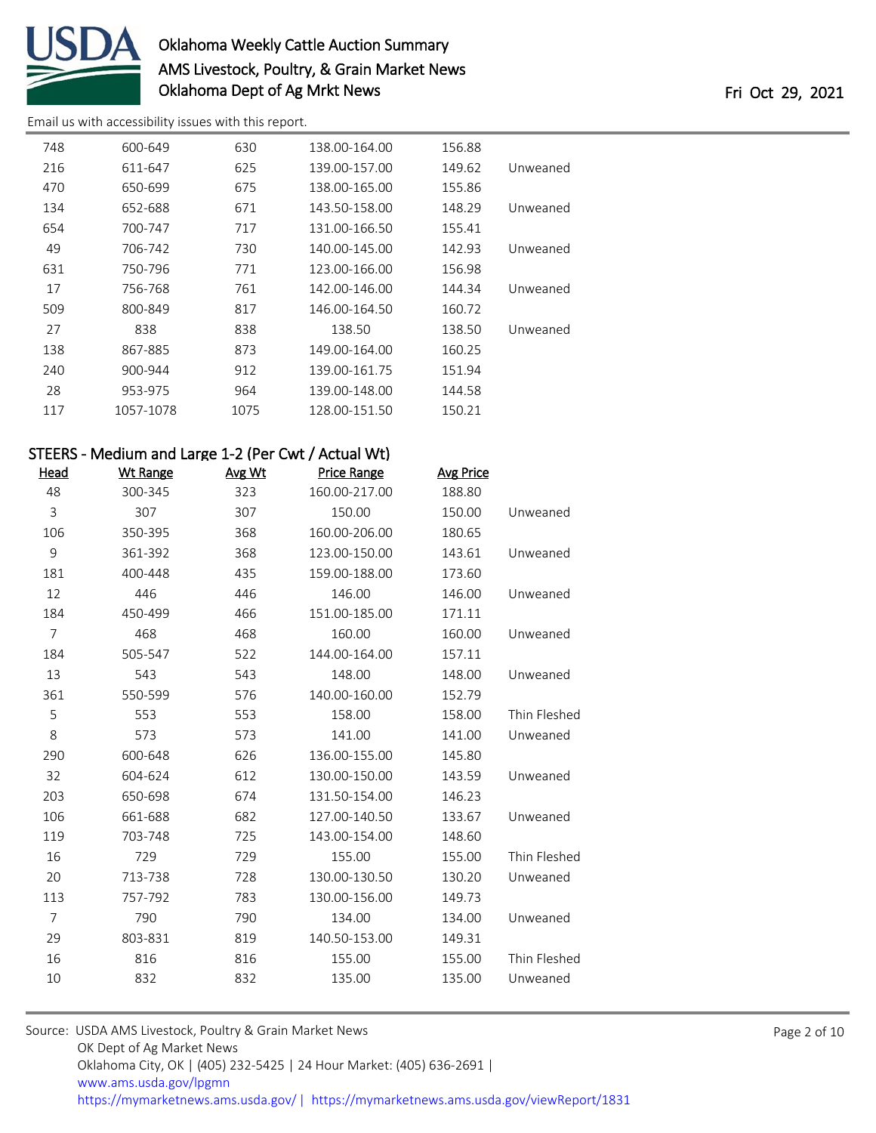

[Email us with accessibility issues with this report.](mailto:mars@ams.usda.gov?subject=508%20issue)

| 748 | 600-649   | 630  | 138.00-164.00 | 156.88 |          |
|-----|-----------|------|---------------|--------|----------|
| 216 | 611-647   | 625  | 139.00-157.00 | 149.62 | Unweaned |
| 470 | 650-699   | 675  | 138.00-165.00 | 155.86 |          |
| 134 | 652-688   | 671  | 143.50-158.00 | 148.29 | Unweaned |
| 654 | 700-747   | 717  | 131.00-166.50 | 155.41 |          |
| 49  | 706-742   | 730  | 140.00-145.00 | 142.93 | Unweaned |
| 631 | 750-796   | 771  | 123.00-166.00 | 156.98 |          |
| 17  | 756-768   | 761  | 142.00-146.00 | 144.34 | Unweaned |
| 509 | 800-849   | 817  | 146.00-164.50 | 160.72 |          |
| 27  | 838       | 838  | 138.50        | 138.50 | Unweaned |
| 138 | 867-885   | 873  | 149.00-164.00 | 160.25 |          |
| 240 | 900-944   | 912  | 139.00-161.75 | 151.94 |          |
| 28  | 953-975   | 964  | 139.00-148.00 | 144.58 |          |
| 117 | 1057-1078 | 1075 | 128.00-151.50 | 150.21 |          |
|     |           |      |               |        |          |

| STEERS - Medium and Large 1-2 (Per Cwt / Actual Wt) |                 |        |                    |                  |              |
|-----------------------------------------------------|-----------------|--------|--------------------|------------------|--------------|
| <u>Head</u>                                         | <b>Wt Range</b> | Avg Wt | <b>Price Range</b> | <b>Avg Price</b> |              |
| 48                                                  | 300-345         | 323    | 160.00-217.00      | 188.80           |              |
| 3                                                   | 307             | 307    | 150.00             | 150.00           | Unweaned     |
| 106                                                 | 350-395         | 368    | 160.00-206.00      | 180.65           |              |
| 9                                                   | 361-392         | 368    | 123.00-150.00      | 143.61           | Unweaned     |
| 181                                                 | 400-448         | 435    | 159.00-188.00      | 173.60           |              |
| 12                                                  | 446             | 446    | 146.00             | 146.00           | Unweaned     |
| 184                                                 | 450-499         | 466    | 151.00-185.00      | 171.11           |              |
| $\overline{7}$                                      | 468             | 468    | 160.00             | 160.00           | Unweaned     |
| 184                                                 | 505-547         | 522    | 144.00-164.00      | 157.11           |              |
| 13                                                  | 543             | 543    | 148.00             | 148.00           | Unweaned     |
| 361                                                 | 550-599         | 576    | 140.00-160.00      | 152.79           |              |
| 5                                                   | 553             | 553    | 158.00             | 158.00           | Thin Fleshed |
| 8                                                   | 573             | 573    | 141.00             | 141.00           | Unweaned     |
| 290                                                 | 600-648         | 626    | 136.00-155.00      | 145.80           |              |
| 32                                                  | 604-624         | 612    | 130.00-150.00      | 143.59           | Unweaned     |
| 203                                                 | 650-698         | 674    | 131.50-154.00      | 146.23           |              |
| 106                                                 | 661-688         | 682    | 127.00-140.50      | 133.67           | Unweaned     |
| 119                                                 | 703-748         | 725    | 143.00-154.00      | 148.60           |              |
| 16                                                  | 729             | 729    | 155.00             | 155.00           | Thin Fleshed |
| 20                                                  | 713-738         | 728    | 130.00-130.50      | 130.20           | Unweaned     |
| 113                                                 | 757-792         | 783    | 130.00-156.00      | 149.73           |              |
| $\overline{7}$                                      | 790             | 790    | 134.00             | 134.00           | Unweaned     |
| 29                                                  | 803-831         | 819    | 140.50-153.00      | 149.31           |              |
| 16                                                  | 816             | 816    | 155.00             | 155.00           | Thin Fleshed |
| 10                                                  | 832             | 832    | 135.00             | 135.00           | Unweaned     |

Source: USDA AMS Livestock, Poultry & Grain Market News OK Dept of Ag Market News Oklahoma City, OK | (405) 232-5425 | 24 Hour Market: (405) 636-2691 | [www.ams.usda.gov/lpgmn](https://www.ams.usda.gov/market-news) <https://mymarketnews.ams.usda.gov/> [|](https://www.ams.usda.gov/market-news) <https://mymarketnews.ams.usda.gov/viewReport/1831>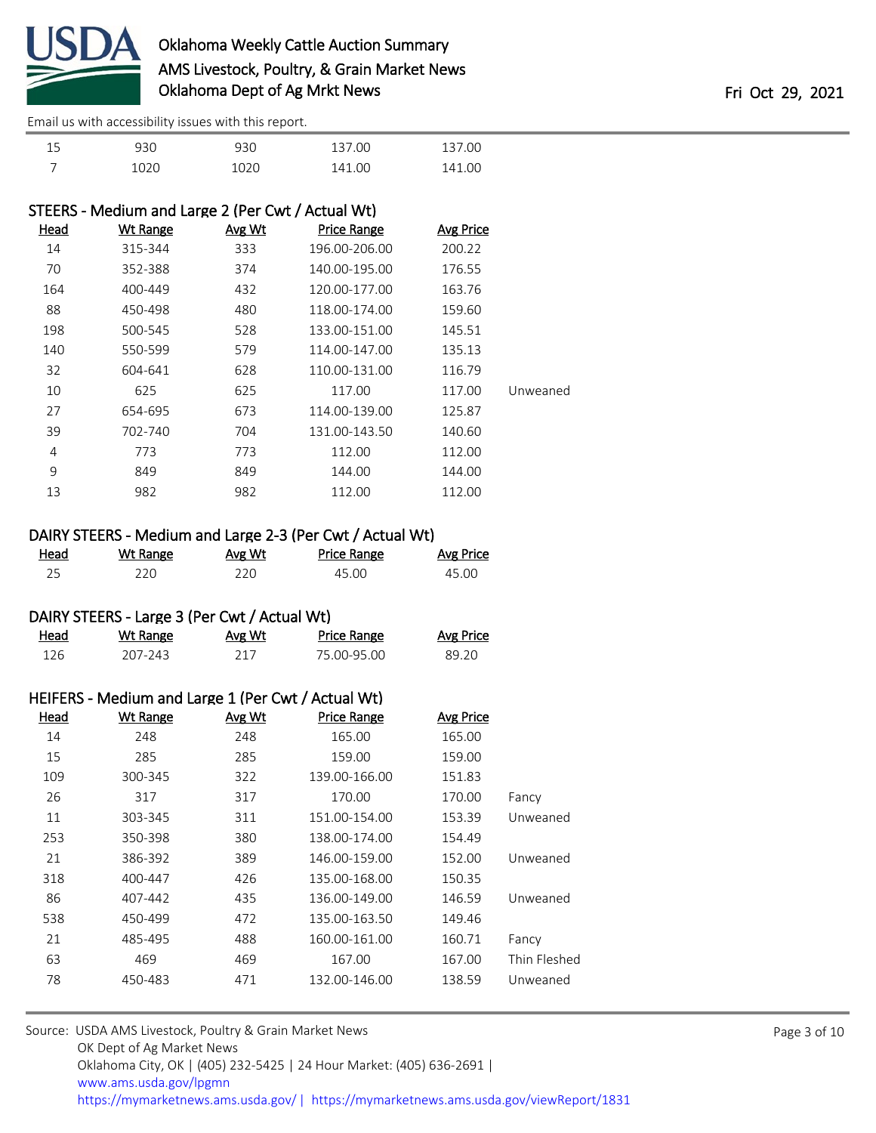

[Email us with accessibility issues with this report.](mailto:mars@ams.usda.gov?subject=508%20issue)

| 15 | 930  | 930  | 137.00 | 137.00 |
|----|------|------|--------|--------|
|    | 1020 | 1020 | 141.00 | 141.00 |

| STEERS - Medium and Large 2 (Per Cwt / Actual Wt) |                 |        |                    |                  |          |
|---------------------------------------------------|-----------------|--------|--------------------|------------------|----------|
| <u>Head</u>                                       | <b>Wt Range</b> | Avg Wt | <b>Price Range</b> | <b>Avg Price</b> |          |
| 14                                                | 315-344         | 333    | 196.00-206.00      | 200.22           |          |
| 70                                                | 352-388         | 374    | 140.00-195.00      | 176.55           |          |
| 164                                               | 400-449         | 432    | 120.00-177.00      | 163.76           |          |
| 88                                                | 450-498         | 480    | 118.00-174.00      | 159.60           |          |
| 198                                               | 500-545         | 528    | 133.00-151.00      | 145.51           |          |
| 140                                               | 550-599         | 579    | 114.00-147.00      | 135.13           |          |
| 32                                                | 604-641         | 628    | 110.00-131.00      | 116.79           |          |
| 10                                                | 625             | 625    | 117.00             | 117.00           | Unweaned |
| 27                                                | 654-695         | 673    | 114.00-139.00      | 125.87           |          |
| 39                                                | 702-740         | 704    | 131.00-143.50      | 140.60           |          |
| 4                                                 | 773             | 773    | 112.00             | 112.00           |          |
| 9                                                 | 849             | 849    | 144.00             | 144.00           |          |
| 13                                                | 982             | 982    | 112.00             | 112.00           |          |
|                                                   |                 |        |                    |                  |          |

### DAIRY STEERS - Medium and Large 2-3 (Per Cwt / Actual Wt)

| Head<br>________ | <u>Wt Range</u> | Avg Wt | <b>Price Range</b> | <b>Avg Price</b> |
|------------------|-----------------|--------|--------------------|------------------|
|                  | 220             | 220    | 45.00              | 45.00            |

### DAIRY STEERS - Large 3 (Per Cwt / Actual Wt)

| Head | Wt Range | Avg Wt | Price Range | Avg Price |
|------|----------|--------|-------------|-----------|
| 126  | 207-243  |        | 75 00-95 00 | 89 20     |

| HEIFERS - Medium and Large 1 (Per Cwt / Actual Wt) |                 |        |                    |                  |              |
|----------------------------------------------------|-----------------|--------|--------------------|------------------|--------------|
| <u>Head</u>                                        | <b>Wt Range</b> | Avg Wt | <b>Price Range</b> | <b>Avg Price</b> |              |
| 14                                                 | 248             | 248    | 165.00             | 165.00           |              |
| 15                                                 | 285             | 285    | 159.00             | 159.00           |              |
| 109                                                | 300-345         | 322    | 139.00-166.00      | 151.83           |              |
| 26                                                 | 317             | 317    | 170.00             | 170.00           | Fancy        |
| 11                                                 | 303-345         | 311    | 151.00-154.00      | 153.39           | Unweaned     |
| 253                                                | 350-398         | 380    | 138.00-174.00      | 154.49           |              |
| 21                                                 | 386-392         | 389    | 146.00-159.00      | 152.00           | Unweaned     |
| 318                                                | 400-447         | 426    | 135.00-168.00      | 150.35           |              |
| 86                                                 | 407-442         | 435    | 136.00-149.00      | 146.59           | Unweaned     |
| 538                                                | 450-499         | 472    | 135.00-163.50      | 149.46           |              |
| 21                                                 | 485-495         | 488    | 160.00-161.00      | 160.71           | Fancy        |
| 63                                                 | 469             | 469    | 167.00             | 167.00           | Thin Fleshed |
| 78                                                 | 450-483         | 471    | 132.00-146.00      | 138.59           | Unweaned     |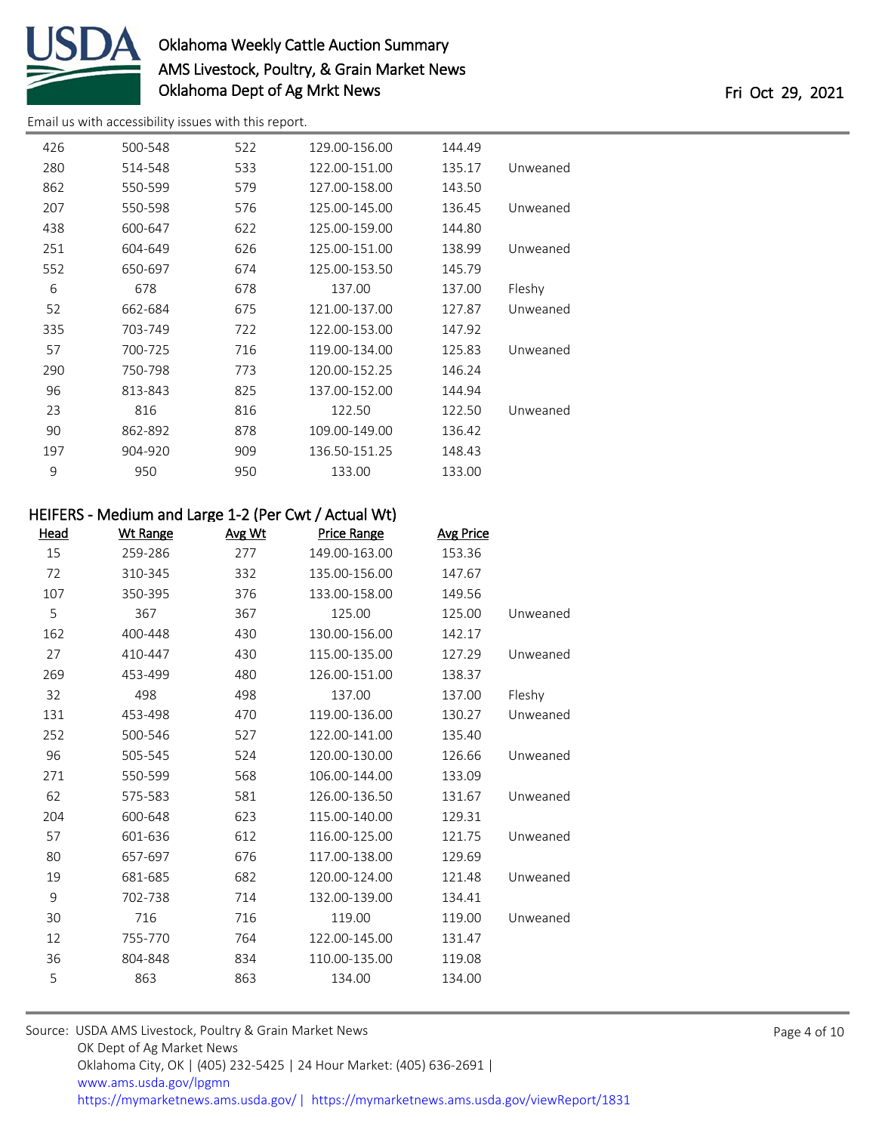

[Email us with accessibility issues with this report.](mailto:mars@ams.usda.gov?subject=508%20issue)

| 426 | 500-548 | 522 | 129.00-156.00 | 144.49 |          |
|-----|---------|-----|---------------|--------|----------|
| 280 | 514-548 | 533 | 122.00-151.00 | 135.17 | Unweaned |
| 862 | 550-599 | 579 | 127.00-158.00 | 143.50 |          |
| 207 | 550-598 | 576 | 125.00-145.00 | 136.45 | Unweaned |
| 438 | 600-647 | 622 | 125.00-159.00 | 144.80 |          |
| 251 | 604-649 | 626 | 125.00-151.00 | 138.99 | Unweaned |
| 552 | 650-697 | 674 | 125.00-153.50 | 145.79 |          |
| 6   | 678     | 678 | 137.00        | 137.00 | Fleshy   |
| 52  | 662-684 | 675 | 121.00-137.00 | 127.87 | Unweaned |
| 335 | 703-749 | 722 | 122.00-153.00 | 147.92 |          |
| 57  | 700-725 | 716 | 119.00-134.00 | 125.83 | Unweaned |
| 290 | 750-798 | 773 | 120.00-152.25 | 146.24 |          |
| 96  | 813-843 | 825 | 137.00-152.00 | 144.94 |          |
| 23  | 816     | 816 | 122.50        | 122.50 | Unweaned |
| 90  | 862-892 | 878 | 109.00-149.00 | 136.42 |          |
| 197 | 904-920 | 909 | 136.50-151.25 | 148.43 |          |
| 9   | 950     | 950 | 133.00        | 133.00 |          |
|     |         |     |               |        |          |

### HEIFERS - Medium and Large 1-2 (Per Cwt / Actual Wt)

| Head | Wt Range | Avg Wt | <b>Price Range</b> | <b>Avg Price</b> |          |
|------|----------|--------|--------------------|------------------|----------|
| 15   | 259-286  | 277    | 149.00-163.00      | 153.36           |          |
| 72   | 310-345  | 332    | 135.00-156.00      | 147.67           |          |
| 107  | 350-395  | 376    | 133.00-158.00      | 149.56           |          |
| 5    | 367      | 367    | 125.00             | 125.00           | Unweaned |
| 162  | 400-448  | 430    | 130.00-156.00      | 142.17           |          |
| 27   | 410-447  | 430    | 115.00-135.00      | 127.29           | Unweaned |
| 269  | 453-499  | 480    | 126.00-151.00      | 138.37           |          |
| 32   | 498      | 498    | 137.00             | 137.00           | Fleshy   |
| 131  | 453-498  | 470    | 119.00-136.00      | 130.27           | Unweaned |
| 252  | 500-546  | 527    | 122.00-141.00      | 135.40           |          |
| 96   | 505-545  | 524    | 120.00-130.00      | 126.66           | Unweaned |
| 271  | 550-599  | 568    | 106.00-144.00      | 133.09           |          |
| 62   | 575-583  | 581    | 126.00-136.50      | 131.67           | Unweaned |
| 204  | 600-648  | 623    | 115.00-140.00      | 129.31           |          |
| 57   | 601-636  | 612    | 116.00-125.00      | 121.75           | Unweaned |
| 80   | 657-697  | 676    | 117.00-138.00      | 129.69           |          |
| 19   | 681-685  | 682    | 120.00-124.00      | 121.48           | Unweaned |
| 9    | 702-738  | 714    | 132.00-139.00      | 134.41           |          |
| 30   | 716      | 716    | 119.00             | 119.00           | Unweaned |
| 12   | 755-770  | 764    | 122.00-145.00      | 131.47           |          |
| 36   | 804-848  | 834    | 110.00-135.00      | 119.08           |          |
| 5    | 863      | 863    | 134.00             | 134.00           |          |
|      |          |        |                    |                  |          |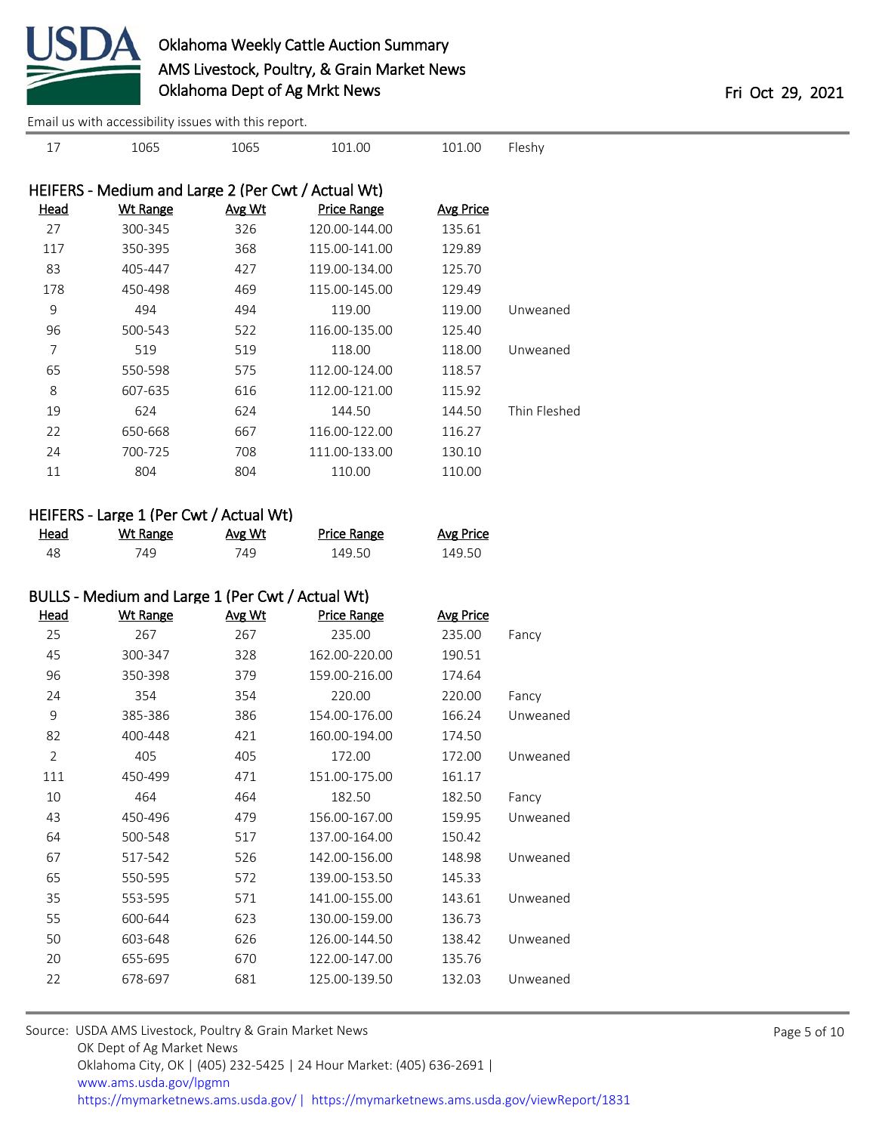

1065 1065 101.00 101.00 Fleshy

[Email us with accessibility issues with this report.](mailto:mars@ams.usda.gov?subject=508%20issue)

|              | Avg Price | Price Range   | Avg Wt | Wt Range | Head |
|--------------|-----------|---------------|--------|----------|------|
|              | 135.61    | 120.00-144.00 | 326    | 300-345  | 27   |
|              | 129.89    | 115.00-141.00 | 368    | 350-395  | 117  |
|              | 125.70    | 119.00-134.00 | 427    | 405-447  | 83   |
|              | 129.49    | 115.00-145.00 | 469    | 450-498  | 178  |
| Unweaned     | 119.00    | 119.00        | 494    | 494      | 9    |
|              | 125.40    | 116.00-135.00 | 522    | 500-543  | 96   |
| Unweaned     | 118.00    | 118.00        | 519    | 519      | 7    |
|              | 118.57    | 112.00-124.00 | 575    | 550-598  | 65   |
|              | 115.92    | 112.00-121.00 | 616    | 607-635  | 8    |
| Thin Fleshed | 144.50    | 144.50        | 624    | 624      | 19   |
|              | 116.27    | 116.00-122.00 | 667    | 650-668  | 22   |
|              | 130.10    | 111.00-133.00 | 708    | 700-725  | 24   |
|              | 110.00    | 110.00        | 804    | 804      | 11   |

### HEIFERS - Large 1 (Per Cwt / Actual Wt)

| Head | <u>Wt Range</u> | Avg Wt | <b>Price Range</b> | <b>Avg Price</b> |
|------|-----------------|--------|--------------------|------------------|
|      | 749.            | 749.   | 149.50             | 149.50           |

# BULLS - Medium and Large 1 (Per Cwt / Actual Wt)

| <u>Head</u>    | <b>Wt Range</b> | Avg Wt | Price Range   | <b>Avg Price</b> |          |
|----------------|-----------------|--------|---------------|------------------|----------|
| 25             | 267             | 267    | 235.00        | 235.00           | Fancy    |
| 45             | 300-347         | 328    | 162.00-220.00 | 190.51           |          |
| 96             | 350-398         | 379    | 159.00-216.00 | 174.64           |          |
| 24             | 354             | 354    | 220.00        | 220.00           | Fancy    |
| 9              | 385-386         | 386    | 154.00-176.00 | 166.24           | Unweaned |
| 82             | 400-448         | 421    | 160.00-194.00 | 174.50           |          |
| $\overline{2}$ | 405             | 405    | 172.00        | 172.00           | Unweaned |
| 111            | 450-499         | 471    | 151.00-175.00 | 161.17           |          |
| 10             | 464             | 464    | 182.50        | 182.50           | Fancy    |
| 43             | 450-496         | 479    | 156.00-167.00 | 159.95           | Unweaned |
| 64             | 500-548         | 517    | 137.00-164.00 | 150.42           |          |
| 67             | 517-542         | 526    | 142.00-156.00 | 148.98           | Unweaned |
| 65             | 550-595         | 572    | 139.00-153.50 | 145.33           |          |
| 35             | 553-595         | 571    | 141.00-155.00 | 143.61           | Unweaned |
| 55             | 600-644         | 623    | 130.00-159.00 | 136.73           |          |
| 50             | 603-648         | 626    | 126.00-144.50 | 138.42           | Unweaned |
| 20             | 655-695         | 670    | 122.00-147.00 | 135.76           |          |
| 22             | 678-697         | 681    | 125.00-139.50 | 132.03           | Unweaned |
|                |                 |        |               |                  |          |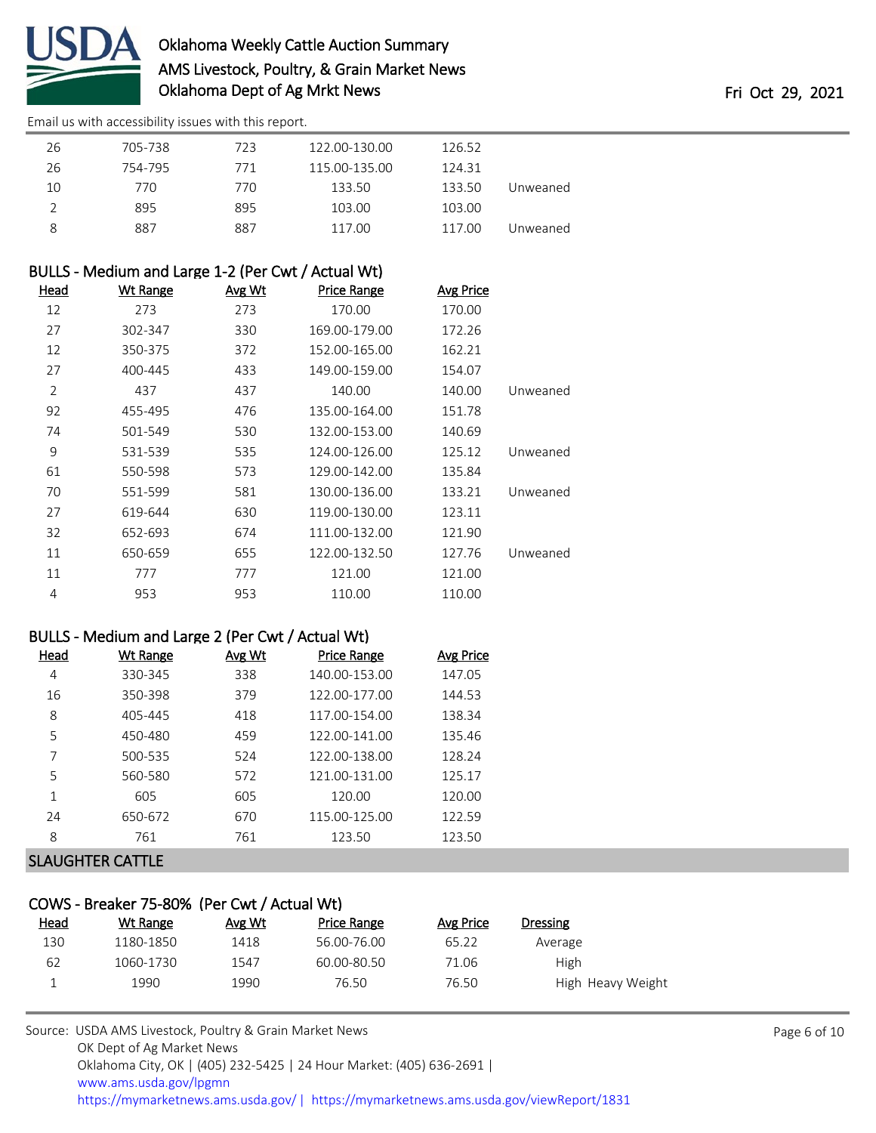

[Email us with accessibility issues with this report.](mailto:mars@ams.usda.gov?subject=508%20issue)

| 26 | 705-738 | 723 | 122.00-130.00 | 126.52 |          |
|----|---------|-----|---------------|--------|----------|
| 26 | 754-795 | 771 | 115.00-135.00 | 124.31 |          |
| 10 | 770     | 770 | 133.50        | 133.50 | Unweaned |
|    | 895     | 895 | 103.00        | 103.00 |          |
| 8  | 887     | 887 | 117.00        | 117.00 | Unweaned |

# BULLS - Medium and Large 1-2 (Per Cwt / Actual Wt)

| Head           | <u>Wt Range</u> | Avg Wt | <b>Price Range</b> | <b>Avg Price</b> |          |
|----------------|-----------------|--------|--------------------|------------------|----------|
| 12             | 273             | 273    | 170.00             | 170.00           |          |
| 27             | 302-347         | 330    | 169.00-179.00      | 172.26           |          |
| 12             | 350-375         | 372    | 152.00-165.00      | 162.21           |          |
| 27             | 400-445         | 433    | 149.00-159.00      | 154.07           |          |
| $\overline{2}$ | 437             | 437    | 140.00             | 140.00           | Unweaned |
| 92             | 455-495         | 476    | 135.00-164.00      | 151.78           |          |
| 74             | 501-549         | 530    | 132.00-153.00      | 140.69           |          |
| 9              | 531-539         | 535    | 124.00-126.00      | 125.12           | Unweaned |
| 61             | 550-598         | 573    | 129.00-142.00      | 135.84           |          |
| 70             | 551-599         | 581    | 130.00-136.00      | 133.21           | Unweaned |
| 27             | 619-644         | 630    | 119.00-130.00      | 123.11           |          |
| 32             | 652-693         | 674    | 111.00-132.00      | 121.90           |          |
| 11             | 650-659         | 655    | 122.00-132.50      | 127.76           | Unweaned |
| 11             | 777             | 777    | 121.00             | 121.00           |          |
| 4              | 953             | 953    | 110.00             | 110.00           |          |

#### BULLS - Medium and Large 2 (Per Cwt / Actual Wt)

| Head | <b>Wt Range</b> | Avg Wt | <b>Price Range</b> | <b>Avg Price</b> |
|------|-----------------|--------|--------------------|------------------|
| 4    | 330-345         | 338    | 140.00-153.00      | 147.05           |
| 16   | 350-398         | 379    | 122.00-177.00      | 144.53           |
| 8    | 405-445         | 418    | 117.00-154.00      | 138.34           |
| 5    | 450-480         | 459    | 122.00-141.00      | 135.46           |
| 7    | 500-535         | 524    | 122.00-138.00      | 128.24           |
| 5    | 560-580         | 572    | 121.00-131.00      | 125.17           |
| 1    | 605             | 605    | 120.00             | 120.00           |
| 24   | 650-672         | 670    | 115.00-125.00      | 122.59           |
| 8    | 761             | 761    | 123.50             | 123.50           |
|      |                 |        |                    |                  |

#### SLAUGHTER CATTLE

| COWS - Breaker 75-80% (Per Cwt / Actual Wt) |           |        |                    |           |                   |  |  |  |  |
|---------------------------------------------|-----------|--------|--------------------|-----------|-------------------|--|--|--|--|
| <u>Head</u>                                 | Wt Range  | Avg Wt | <b>Price Range</b> | Avg Price | <b>Dressing</b>   |  |  |  |  |
| 130                                         | 1180-1850 | 1418   | 56.00-76.00        | 65.22     | Average           |  |  |  |  |
| 62                                          | 1060-1730 | 1547   | 60.00-80.50        | 71.06     | <b>High</b>       |  |  |  |  |
|                                             | 1990      | 1990   | 76.50              | 76.50     | High Heavy Weight |  |  |  |  |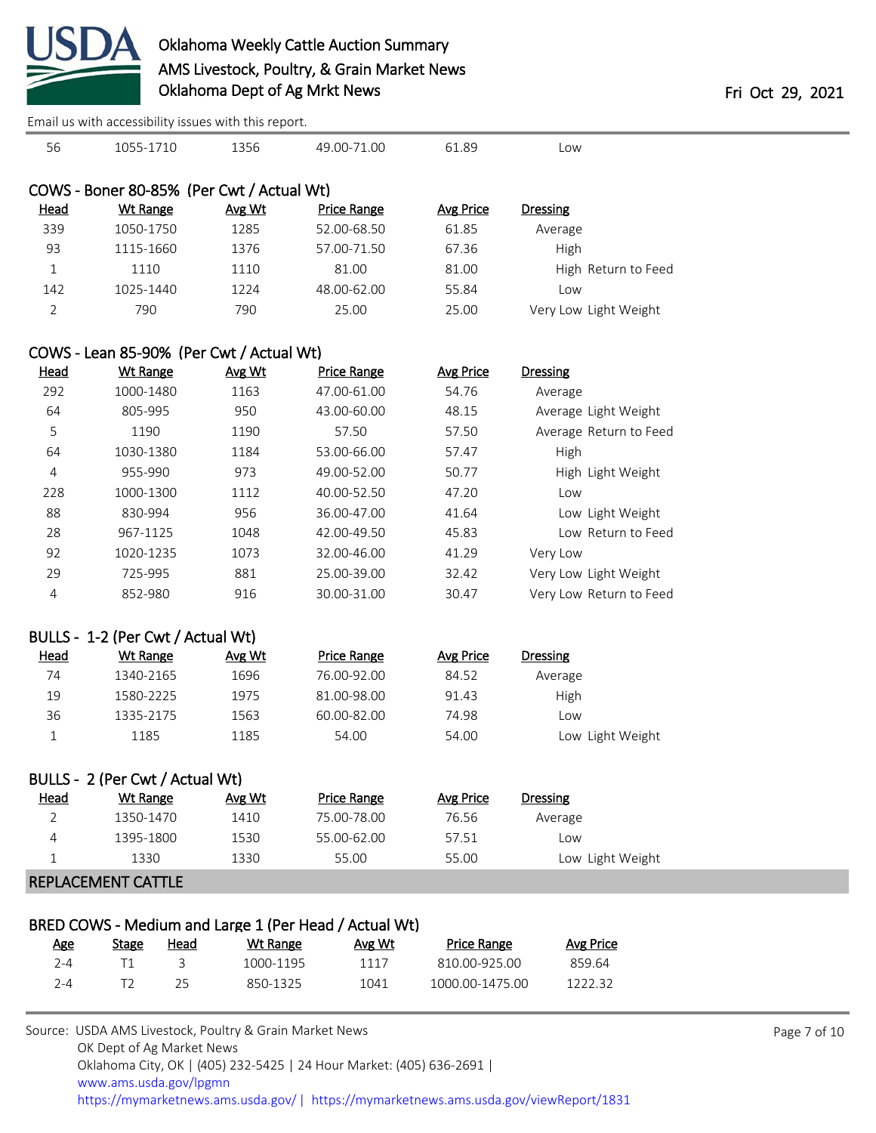

[Email us with accessibility issues with this report.](mailto:mars@ams.usda.gov?subject=508%20issue)

| 56          | 1055-1710                                 | 1356   | 49.00-71.00        | 61.89     | Low                   |
|-------------|-------------------------------------------|--------|--------------------|-----------|-----------------------|
|             | COWS - Boner 80-85% (Per Cwt / Actual Wt) |        |                    |           |                       |
| <b>Head</b> | Wt Range                                  | Avg Wt | <b>Price Range</b> | Avg Price | <b>Dressing</b>       |
| 339         | 1050-1750                                 | 1285   | 52.00-68.50        | 61.85     | Average               |
| 93          | 1115-1660                                 | 1376   | 57.00-71.50        | 67.36     | High                  |
| 1           | 1110                                      | 1110   | 81.00              | 81.00     | High Return to Feed   |
| 142         | 1025-1440                                 | 1224   | 48.00-62.00        | 55.84     | Low                   |
| 2           | 790                                       | 790    | 25.00              | 25.00     | Very Low Light Weight |
|             |                                           |        |                    |           |                       |

# COWS - Lean 85-90% (Per Cwt / Actual Wt)

| Head | Wt Range  | Avg Wt | <b>Price Range</b> | <b>Avg Price</b> | <b>Dressing</b>         |
|------|-----------|--------|--------------------|------------------|-------------------------|
| 292  | 1000-1480 | 1163   | 47.00-61.00        | 54.76            | Average                 |
| 64   | 805-995   | 950    | 43.00-60.00        | 48.15            | Average Light Weight    |
| 5    | 1190      | 1190   | 57.50              | 57.50            | Average Return to Feed  |
| 64   | 1030-1380 | 1184   | 53.00-66.00        | 57.47            | High                    |
| 4    | 955-990   | 973    | 49.00-52.00        | 50.77            | High Light Weight       |
| 228  | 1000-1300 | 1112   | 40.00-52.50        | 47.20            | Low                     |
| 88   | 830-994   | 956    | 36.00-47.00        | 41.64            | Low Light Weight        |
| 28   | 967-1125  | 1048   | 42.00-49.50        | 45.83            | Low Return to Feed      |
| 92   | 1020-1235 | 1073   | 32.00-46.00        | 41.29            | Very Low                |
| 29   | 725-995   | 881    | 25.00-39.00        | 32.42            | Very Low Light Weight   |
| 4    | 852-980   | 916    | 30.00-31.00        | 30.47            | Very Low Return to Feed |
|      |           |        |                    |                  |                         |

## BULLS - 1-2 (Per Cwt / Actual Wt)

| <u>Head</u> | Wt Range  | Avg Wt | Price Range | Avg Price | Dressing         |
|-------------|-----------|--------|-------------|-----------|------------------|
| 74          | 1340-2165 | 1696   | 76.00-92.00 | 84.52     | Average          |
| 19          | 1580-2225 | 1975   | 81.00-98.00 | 91.43     | High             |
| 36          | 1335-2175 | 1563   | 60.00-82.00 | 74.98     | LOW              |
|             | 1185      | 1185   | 54.00       | 54.00     | Low Light Weight |

| BULLS - 2 (Per Cwt / Actual Wt) |           |        |             |           |                  |  |  |  |  |
|---------------------------------|-----------|--------|-------------|-----------|------------------|--|--|--|--|
| <u>Head</u>                     | Wt Range  | Avg Wt | Price Range | Avg Price | <b>Dressing</b>  |  |  |  |  |
|                                 | 1350-1470 | 1410   | 75.00-78.00 | 76.56     | Average          |  |  |  |  |
| 4                               | 1395-1800 | 1530   | 55.00-62.00 | 57.51     | Low              |  |  |  |  |
|                                 | 1330      | 1330   | 55.00       | 55.00     | Low Light Weight |  |  |  |  |
|                                 |           |        |             |           |                  |  |  |  |  |

#### REPLACEMENT CATTLE

| BRED COWS - Medium and Large 1 (Per Head / Actual Wt) |       |      |           |        |                    |           |  |  |  |
|-------------------------------------------------------|-------|------|-----------|--------|--------------------|-----------|--|--|--|
| Age                                                   | Stage | Head | Wt Range  | Avg Wt | <b>Price Range</b> | Avg Price |  |  |  |
| 2-4                                                   |       |      | 1000-1195 | 1117   | 810.00-925.00      | 859.64    |  |  |  |
| 7-4                                                   |       | ר ל  | 850-1325  | 1041   | 1000 00-1475 00    | 122232    |  |  |  |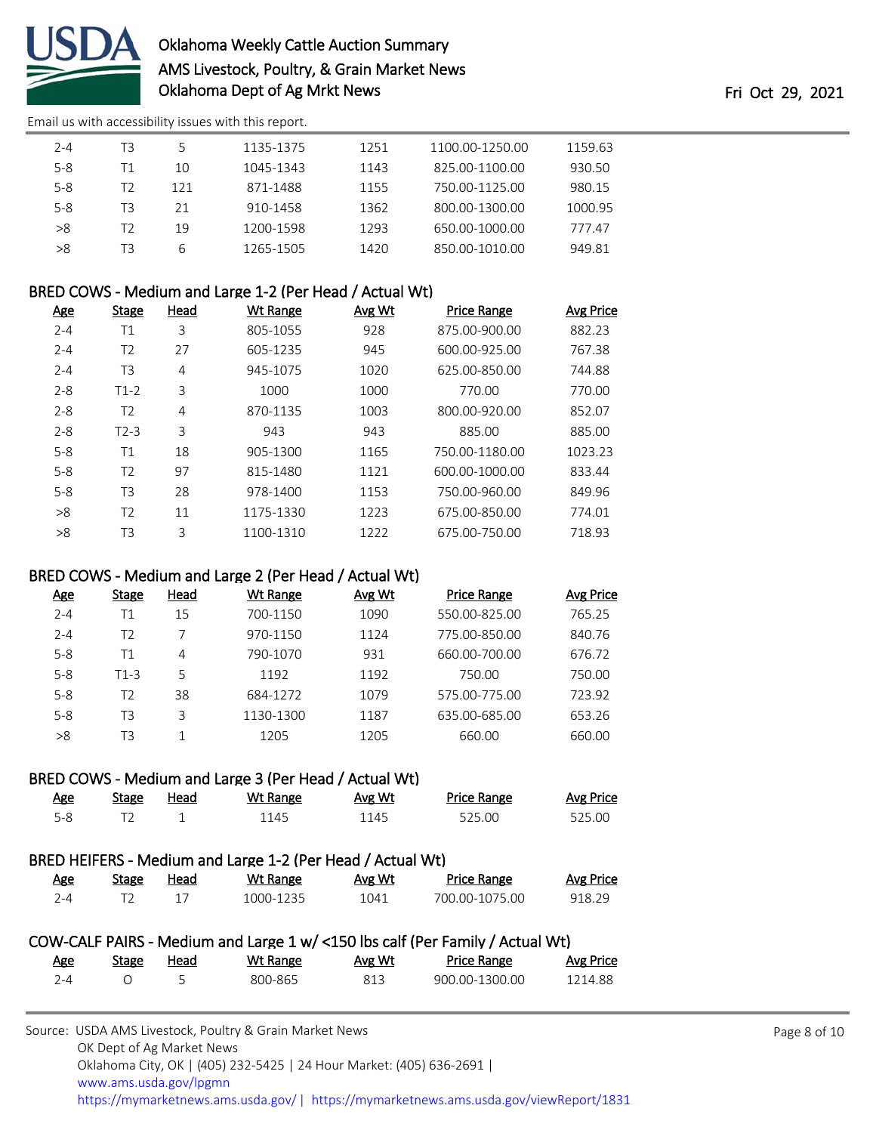

[Email us with accessibility issues with this report.](mailto:mars@ams.usda.gov?subject=508%20issue)

| $2 - 4$ | T3 | 5   | 1135-1375 | 1251 | 1100.00-1250.00 | 1159.63 |
|---------|----|-----|-----------|------|-----------------|---------|
| $5 - 8$ | Τ1 | 10  | 1045-1343 | 1143 | 825.00-1100.00  | 930.50  |
| $5 - 8$ | 12 | 121 | 871-1488  | 1155 | 750.00-1125.00  | 980.15  |
| $5 - 8$ | ТЗ | 21  | 910-1458  | 1362 | 800.00-1300.00  | 1000.95 |
| >8      | 12 | 19  | 1200-1598 | 1293 | 650.00-1000.00  | 777.47  |
| >8      | T3 | 6   | 1265-1505 | 1420 | 850.00-1010.00  | 949.81  |

## BRED COWS - Medium and Large 1-2 (Per Head / Actual Wt)

| <u>Age</u> | <b>Stage</b>   | <u>Head</u> | Wt Range  | Avg Wt | <b>Price Range</b> | <b>Avg Price</b> |
|------------|----------------|-------------|-----------|--------|--------------------|------------------|
| $2 - 4$    | Τ1             | 3           | 805-1055  | 928    | 875.00-900.00      | 882.23           |
| $2 - 4$    | T <sub>2</sub> | 27          | 605-1235  | 945    | 600.00-925.00      | 767.38           |
| $2 - 4$    | T3             | 4           | 945-1075  | 1020   | 625.00-850.00      | 744.88           |
| $2 - 8$    | $T1-2$         | 3           | 1000      | 1000   | 770.00             | 770.00           |
| $2 - 8$    | T2             | 4           | 870-1135  | 1003   | 800.00-920.00      | 852.07           |
| $2 - 8$    | $T2-3$         | 3           | 943       | 943    | 885.00             | 885.00           |
| $5 - 8$    | Τ1             | 18          | 905-1300  | 1165   | 750.00-1180.00     | 1023.23          |
| $5 - 8$    | T <sub>2</sub> | 97          | 815-1480  | 1121   | 600.00-1000.00     | 833.44           |
| $5 - 8$    | T <sub>3</sub> | 28          | 978-1400  | 1153   | 750.00-960.00      | 849.96           |
| >8         | T <sub>2</sub> | 11          | 1175-1330 | 1223   | 675.00-850.00      | 774.01           |
| >8         | T3             | 3           | 1100-1310 | 1222   | 675.00-750.00      | 718.93           |

## BRED COWS - Medium and Large 2 (Per Head / Actual Wt)

| <u>Age</u> | Stage  | Head | Wt Range  | Avg Wt | <b>Price Range</b> | Avg Price |
|------------|--------|------|-----------|--------|--------------------|-----------|
| $2 - 4$    | Τ1     | 15   | 700-1150  | 1090   | 550.00-825.00      | 765.25    |
| $2 - 4$    | T2     |      | 970-1150  | 1124   | 775.00-850.00      | 840.76    |
| $5 - 8$    | Τ1     | 4    | 790-1070  | 931    | 660.00-700.00      | 676.72    |
| $5 - 8$    | $T1-3$ | 5    | 1192      | 1192   | 750.00             | 750.00    |
| $5 - 8$    | T2     | 38   | 684-1272  | 1079   | 575.00-775.00      | 723.92    |
| $5 - 8$    | T3     | 3    | 1130-1300 | 1187   | 635.00-685.00      | 653.26    |
| >8         | T3     |      | 1205      | 1205   | 660.00             | 660.00    |

## BRED COWS - Medium and Large 3 (Per Head / Actual Wt)

| <u>Age</u> | Stage | <u>Head</u> | <u>Wt Range</u> | Avg Wt | <b>Price Range</b> | Avg Price |
|------------|-------|-------------|-----------------|--------|--------------------|-----------|
| $5 - 8$    |       |             | 1145            | 1145   | 525.00             | 525.00    |

# BRED HEIFERS - Medium and Large 1-2 (Per Head / Actual Wt)

| <u>Age</u> | Stage | Head | Wt Range  | Avg Wt | <b>Price Range</b> | <b>Avg Price</b> |
|------------|-------|------|-----------|--------|--------------------|------------------|
| 7-4        |       |      | 1000-1235 | 1041   | 700.00-1075.00     | 918.29           |

## COW-CALF PAIRS - Medium and Large 1 w/ <150 lbs calf (Per Family / Actual Wt) Age Stage Head WthRange Avg Wt Price Range Avg Price

|         | $-$ | . |         | . | .              | 112.1122 |
|---------|-----|---|---------|---|----------------|----------|
| $2 - 4$ |     |   | 800-865 |   | 900.00-1300.00 | 1214.88  |
|         |     |   |         |   |                |          |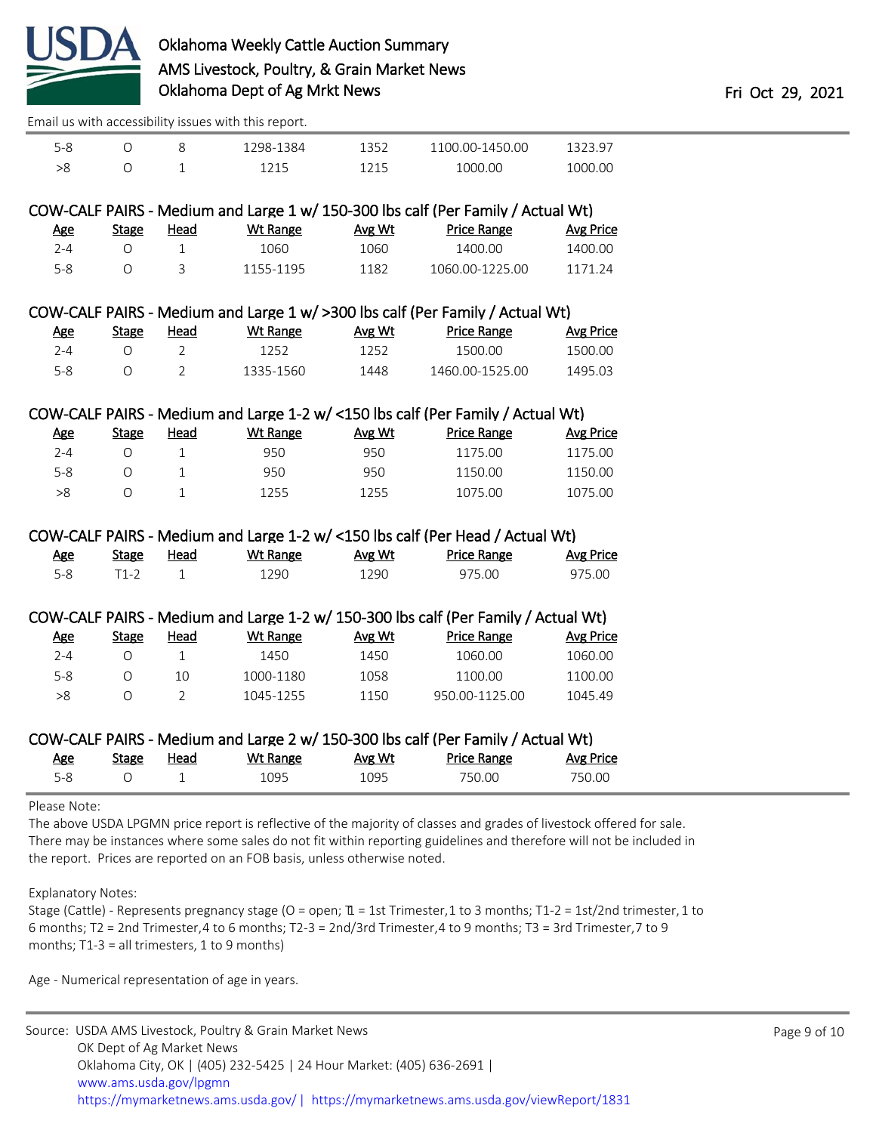

[Email us with accessibility issues with this report.](mailto:mars@ams.usda.gov?subject=508%20issue)

| ے- ר |  | 1384<br>າຊຂ_ | 100.00-1450.00 |                |
|------|--|--------------|----------------|----------------|
|      |  |              | 1000.00        | 1.00<br>77 Y N |

# COW-CALF PAIRS - Medium and Large 1 w/ 150-300 lbs calf (Per Family / Actual Wt)

| Age | Stage | Head | Wt Range  | Avg Wt | <b>Price Range</b> | Avg Price |
|-----|-------|------|-----------|--------|--------------------|-----------|
| 7-4 |       |      | 1060      | 1060   | 1400.00            | 1400.00   |
| 5-8 |       |      | 1155-1195 | 1182   | 1060.00-1225.00    | 1171 24   |

## COW-CALF PAIRS - Medium and Large 1 w/ >300 lbs calf (Per Family / Actual Wt)

| <u>Age</u> | <u>Stage</u> | Head | Wt Range  | Avg Wt | <b>Price Range</b> | <b>Avg Price</b> |
|------------|--------------|------|-----------|--------|--------------------|------------------|
| 2-4        |              |      | 1252.     | 1252   | 1500.00            | 1500.00          |
| 5-8        |              |      | 1335-1560 | 1448   | 1460.00-1525.00    | 1495.03          |

## COW-CALF PAIRS - Medium and Large 1-2 w/ <150 lbs calf (Per Family / Actual Wt)

| <u>Age</u> | Stage | Head | Wt Range | Avg Wt | <b>Price Range</b> | Avg Price |
|------------|-------|------|----------|--------|--------------------|-----------|
| 2-4        |       |      | 950      | 950    | 1175.00            | 1175.00   |
| 5-8        |       |      | 950      | 950    | 1150.00            | 1150.00   |
| >8         |       |      | 1255     | 1255   | 1075.00            | 1075.00   |

# COW-CALF PAIRS - Medium and Large 1-2 w/ <150 lbs calf (Per Head / Actual Wt)

| <u>Age</u> | Stage | Head | Wt Range | <u>Avg Wt</u> | Price Range | <b>Avg Price</b> |
|------------|-------|------|----------|---------------|-------------|------------------|
| 5-8        |       |      | '290     | 1290.         | 975.00      | 975.00           |

## COW-CALF PAIRS - Medium and Large 1-2 w/ 150-300 lbs calf (Per Family / Actual Wt)

| <u>Age</u> | Stage | Head | Wt Range  | Avg Wt | <b>Price Range</b> | Avg Price |
|------------|-------|------|-----------|--------|--------------------|-----------|
| 2-4        |       |      | 1450      | 1450   | 1060.00            | 1060.00   |
| 5-8        |       | 10   | 1000-1180 | 1058   | 1100.00            | 1100.00   |
| >8         |       |      | 1045-1255 | 1150   | 950.00-1125.00     | 1045.49   |

|            |       |      | COW-CALF PAIRS - Medium and Large 2 w/ 150-300 lbs calf (Per Family / Actual Wt) |        |                    |           |
|------------|-------|------|----------------------------------------------------------------------------------|--------|--------------------|-----------|
| <u>Age</u> | Stage | Head | Wt Range                                                                         | Avg Wt | <b>Price Range</b> | Avg Price |

| <u>AKE</u> | <u>stake</u> | <u>neau</u> | <u>WU Ralike</u> | <b>AVE VVL</b> | <b>PHOE NOTIGE</b> | AVE FILE |
|------------|--------------|-------------|------------------|----------------|--------------------|----------|
|            |              |             | 1095             | <b>NO5</b>     | 750.00             | 750.00   |

Please Note:

The above USDA LPGMN price report is reflective of the majority of classes and grades of livestock offered for sale. There may be instances where some sales do not fit within reporting guidelines and therefore will not be included in the report. Prices are reported on an FOB basis, unless otherwise noted.

Explanatory Notes:

Stage (Cattle) - Represents pregnancy stage (O = open;  $\mathbb{I}$  = 1st Trimester, 1 to 3 months; T1-2 = 1st/2nd trimester, 1 to 6 months; T2 = 2nd Trimester, 4 to 6 months; T2-3 = 2nd/3rd Trimester, 4 to 9 months; T3 = 3rd Trimester, 7 to 9 months; T1-3 = all trimesters, 1 to 9 months)

Age - Numerical representation of age in years.